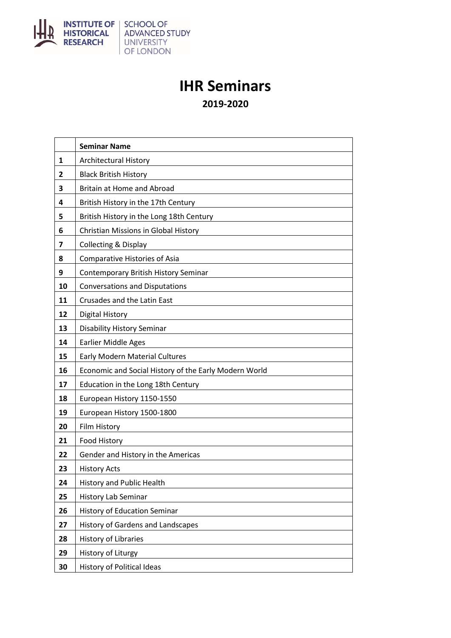

## **IHR Seminars**

**2019-2020**

|    | <b>Seminar Name</b>                                   |
|----|-------------------------------------------------------|
| 1  | <b>Architectural History</b>                          |
| 2  | <b>Black British History</b>                          |
| 3  | Britain at Home and Abroad                            |
| 4  | British History in the 17th Century                   |
| 5  | British History in the Long 18th Century              |
| 6  | Christian Missions in Global History                  |
| 7  | <b>Collecting &amp; Display</b>                       |
| 8  | <b>Comparative Histories of Asia</b>                  |
| 9  | Contemporary British History Seminar                  |
| 10 | <b>Conversations and Disputations</b>                 |
| 11 | Crusades and the Latin East                           |
| 12 | <b>Digital History</b>                                |
| 13 | <b>Disability History Seminar</b>                     |
| 14 | <b>Earlier Middle Ages</b>                            |
| 15 | <b>Early Modern Material Cultures</b>                 |
| 16 | Economic and Social History of the Early Modern World |
| 17 | Education in the Long 18th Century                    |
| 18 | European History 1150-1550                            |
| 19 | European History 1500-1800                            |
| 20 | Film History                                          |
| 21 | Food History                                          |
| 22 | Gender and History in the Americas                    |
| 23 | <b>History Acts</b>                                   |
| 24 | <b>History and Public Health</b>                      |
| 25 | <b>History Lab Seminar</b>                            |
| 26 | <b>History of Education Seminar</b>                   |
| 27 | <b>History of Gardens and Landscapes</b>              |
| 28 | <b>History of Libraries</b>                           |
| 29 | History of Liturgy                                    |
| 30 | <b>History of Political Ideas</b>                     |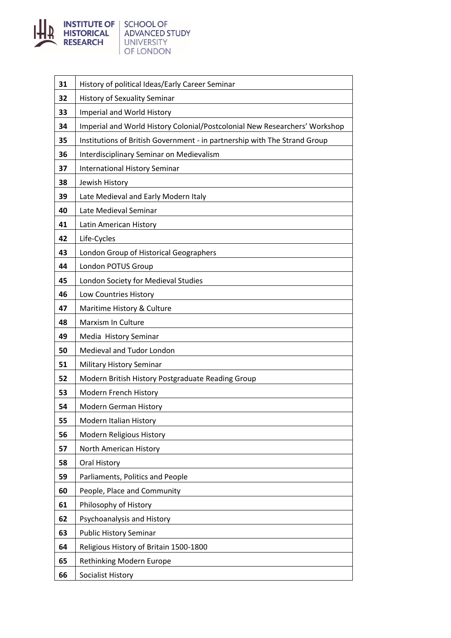

| 31 | History of political Ideas/Early Career Seminar                            |
|----|----------------------------------------------------------------------------|
| 32 | <b>History of Sexuality Seminar</b>                                        |
| 33 | Imperial and World History                                                 |
| 34 | Imperial and World History Colonial/Postcolonial New Researchers' Workshop |
| 35 | Institutions of British Government - in partnership with The Strand Group  |
| 36 | Interdisciplinary Seminar on Medievalism                                   |
| 37 | <b>International History Seminar</b>                                       |
| 38 | Jewish History                                                             |
| 39 | Late Medieval and Early Modern Italy                                       |
| 40 | Late Medieval Seminar                                                      |
| 41 | Latin American History                                                     |
| 42 | Life-Cycles                                                                |
| 43 | London Group of Historical Geographers                                     |
| 44 | London POTUS Group                                                         |
| 45 | London Society for Medieval Studies                                        |
| 46 | Low Countries History                                                      |
| 47 | Maritime History & Culture                                                 |
| 48 | Marxism In Culture                                                         |
| 49 | Media History Seminar                                                      |
| 50 | Medieval and Tudor London                                                  |
| 51 | Military History Seminar                                                   |
| 52 | Modern British History Postgraduate Reading Group                          |
| 53 | Modern French History                                                      |
| 54 | <b>Modern German History</b>                                               |
| 55 | Modern Italian History                                                     |
| 56 | Modern Religious History                                                   |
| 57 | North American History                                                     |
| 58 | Oral History                                                               |
| 59 | Parliaments, Politics and People                                           |
| 60 | People, Place and Community                                                |
| 61 | Philosophy of History                                                      |
| 62 | Psychoanalysis and History                                                 |
| 63 | <b>Public History Seminar</b>                                              |
| 64 | Religious History of Britain 1500-1800                                     |
| 65 | Rethinking Modern Europe                                                   |
| 66 | Socialist History                                                          |